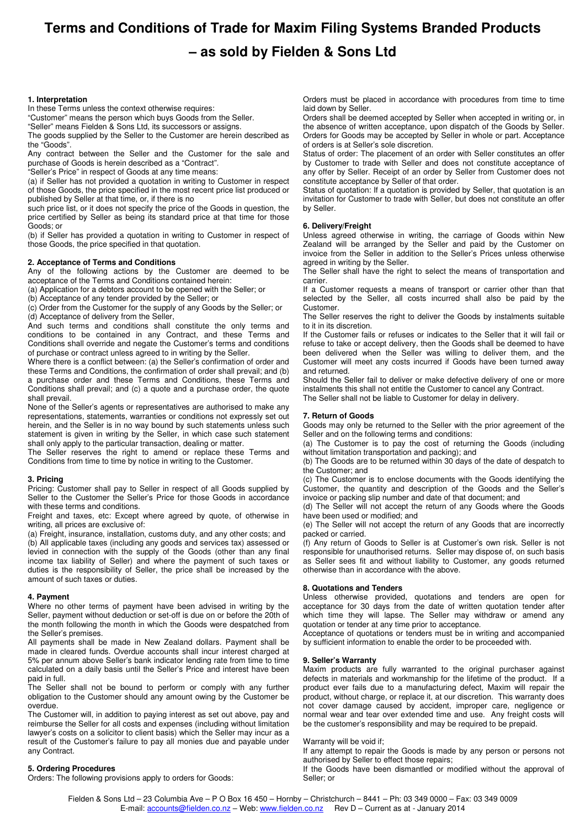# **Terms and Conditions of Trade for Maxim Filing Systems Branded Products – as sold by Fielden & Sons Ltd**

## **1. Interpretation**

In these Terms unless the context otherwise requires:

"Customer" means the person which buys Goods from the Seller.

"Seller" means Fielden & Sons Ltd, its successors or assigns.

The goods supplied by the Seller to the Customer are herein described as the "Goods".

Any contract between the Seller and the Customer for the sale and purchase of Goods is herein described as a "Contract".

"Seller's Price" in respect of Goods at any time means:

(a) if Seller has not provided a quotation in writing to Customer in respect of those Goods, the price specified in the most recent price list produced or published by Seller at that time, or, if there is no

such price list, or it does not specify the price of the Goods in question, the price certified by Seller as being its standard price at that time for those Goods; or

(b) if Seller has provided a quotation in writing to Customer in respect of those Goods, the price specified in that quotation.

## **2. Acceptance of Terms and Conditions**

Any of the following actions by the Customer are deemed to be acceptance of the Terms and Conditions contained herein:

(a) Application for a debtors account to be opened with the Seller; or

(b) Acceptance of any tender provided by the Seller; or

(c) Order from the Customer for the supply of any Goods by the Seller; or (d) Acceptance of delivery from the Seller,

And such terms and conditions shall constitute the only terms and conditions to be contained in any Contract, and these Terms and Conditions shall override and negate the Customer's terms and conditions of purchase or contract unless agreed to in writing by the Seller.

Where there is a conflict between: (a) the Seller's confirmation of order and these Terms and Conditions, the confirmation of order shall prevail; and (b) a purchase order and these Terms and Conditions, these Terms and Conditions shall prevail; and (c) a quote and a purchase order, the quote shall prevail.

None of the Seller's agents or representatives are authorised to make any representations, statements, warranties or conditions not expressly set out herein, and the Seller is in no way bound by such statements unless such statement is given in writing by the Seller, in which case such statement shall only apply to the particular transaction, dealing or matter.

The Seller reserves the right to amend or replace these Terms and Conditions from time to time by notice in writing to the Customer.

# **3. Pricing**

Pricing: Customer shall pay to Seller in respect of all Goods supplied by Seller to the Customer the Seller's Price for those Goods in accordance with these terms and conditions.

Freight and taxes, etc: Except where agreed by quote, of otherwise in writing, all prices are exclusive of:

(a) Freight, insurance, installation, customs duty, and any other costs; and (b) All applicable taxes (including any goods and services tax) assessed or levied in connection with the supply of the Goods (other than any final income tax liability of Seller) and where the payment of such taxes or duties is the responsibility of Seller, the price shall be increased by the amount of such taxes or duties.

# **4. Payment**

Where no other terms of payment have been advised in writing by the Seller, payment without deduction or set-off is due on or before the 20th of the month following the month in which the Goods were despatched from the Seller's premises.

All payments shall be made in New Zealand dollars. Payment shall be made in cleared funds. Overdue accounts shall incur interest charged at 5% per annum above Seller's bank indicator lending rate from time to time calculated on a daily basis until the Seller's Price and interest have been paid in full.

The Seller shall not be bound to perform or comply with any further obligation to the Customer should any amount owing by the Customer be overdue.

The Customer will, in addition to paying interest as set out above, pay and reimburse the Seller for all costs and expenses (including without limitation lawyer's costs on a solicitor to client basis) which the Seller may incur as a result of the Customer's failure to pay all monies due and payable under any Contract.

# **5. Ordering Procedures**

Orders: The following provisions apply to orders for Goods:

Orders must be placed in accordance with procedures from time to time laid down by Seller.

Orders shall be deemed accepted by Seller when accepted in writing or, in the absence of written acceptance, upon dispatch of the Goods by Seller. Orders for Goods may be accepted by Seller in whole or part. Acceptance of orders is at Seller's sole discretion.

Status of order: The placement of an order with Seller constitutes an offer by Customer to trade with Seller and does not constitute acceptance of any offer by Seller. Receipt of an order by Seller from Customer does not constitute acceptance by Seller of that order.

Status of quotation: If a quotation is provided by Seller, that quotation is an invitation for Customer to trade with Seller, but does not constitute an offer by Seller.

# **6. Delivery/Freight**

Unless agreed otherwise in writing, the carriage of Goods within New Zealand will be arranged by the Seller and paid by the Customer on invoice from the Seller in addition to the Seller's Prices unless otherwise agreed in writing by the Seller.

The Seller shall have the right to select the means of transportation and carrier.

If a Customer requests a means of transport or carrier other than that selected by the Seller, all costs incurred shall also be paid by the Customer.

The Seller reserves the right to deliver the Goods by instalments suitable to it in its discretion.

If the Customer fails or refuses or indicates to the Seller that it will fail or refuse to take or accept delivery, then the Goods shall be deemed to have been delivered when the Seller was willing to deliver them, and the Customer will meet any costs incurred if Goods have been turned away and returned.

Should the Seller fail to deliver or make defective delivery of one or more instalments this shall not entitle the Customer to cancel any Contract. The Seller shall not be liable to Customer for delay in delivery.

# **7. Return of Goods**

Goods may only be returned to the Seller with the prior agreement of the Seller and on the following terms and conditions:

(a) The Customer is to pay the cost of returning the Goods (including without limitation transportation and packing); and

(b) The Goods are to be returned within 30 days of the date of despatch to the Customer; and

(c) The Customer is to enclose documents with the Goods identifying the Customer, the quantity and description of the Goods and the Seller's invoice or packing slip number and date of that document; and

(d) The Seller will not accept the return of any Goods where the Goods have been used or modified; and

(e) The Seller will not accept the return of any Goods that are incorrectly packed or carried.

(f) Any return of Goods to Seller is at Customer's own risk. Seller is not responsible for unauthorised returns. Seller may dispose of, on such basis as Seller sees fit and without liability to Customer, any goods returned otherwise than in accordance with the above.

# **8. Quotations and Tenders**

Unless otherwise provided, quotations and tenders are open for acceptance for 30 days from the date of written quotation tender after which time they will lapse. The Seller may withdraw or amend any quotation or tender at any time prior to acceptance.

Acceptance of quotations or tenders must be in writing and accompanied by sufficient information to enable the order to be proceeded with.

# **9. Seller's Warranty**

Maxim products are fully warranted to the original purchaser against defects in materials and workmanship for the lifetime of the product. If a product ever fails due to a manufacturing defect, Maxim will repair the product, without charge, or replace it, at our discretion. This warranty does not cover damage caused by accident, improper care, negligence or normal wear and tear over extended time and use. Any freight costs will be the customer's responsibility and may be required to be prepaid.

## Warranty will be void if;

If any attempt to repair the Goods is made by any person or persons not authorised by Seller to effect those repairs;

If the Goods have been dismantled or modified without the approval of Seller; or